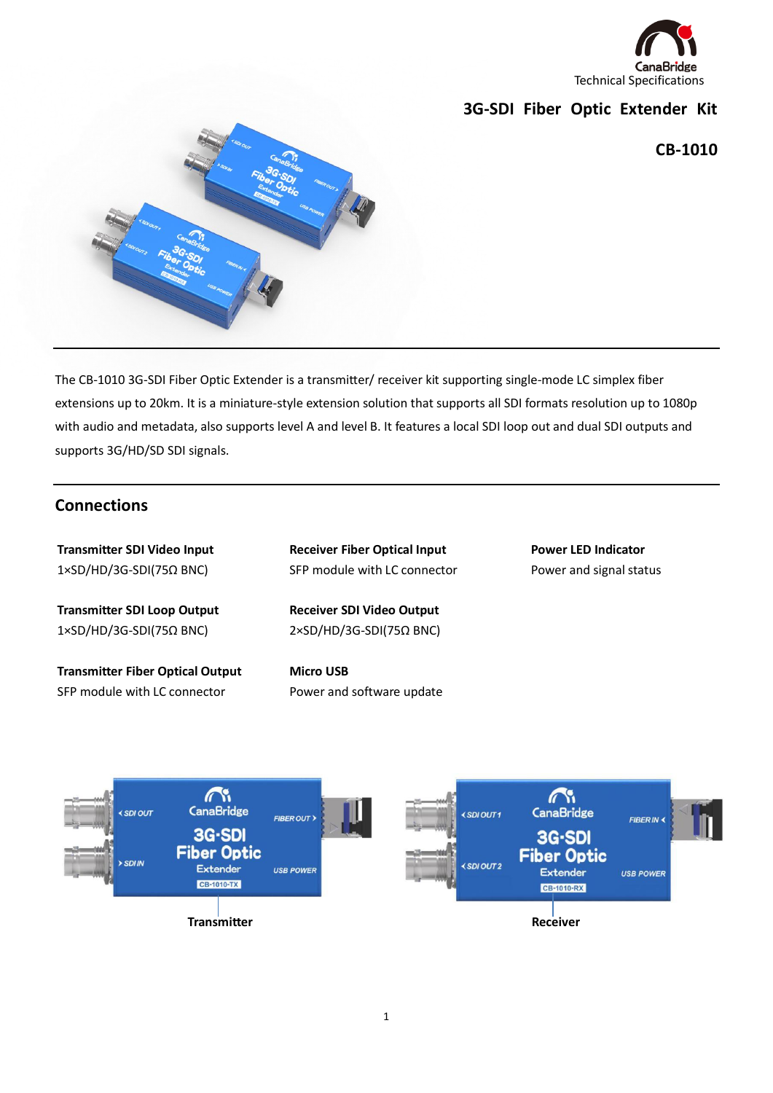

# **3G-SDI Fiber Optic Extender Kit**

**CB-1010**



The CB-1010 3G-SDI Fiber Optic Extender is a transmitter/ receiver kit supporting single-mode LC simplex fiber extensions up to 20km. It is a miniature-style extension solution that supports all SDI formats resolution up to 1080p with audio and metadata, also supports level A and level B. It features a local SDI loop out and dual SDI outputs and supports 3G/HD/SD SDI signals.

## **Connections**

**Transmitter SDI Video Input** 1×SD/HD/3G-SDI(75Ω BNC) **Transmitter SDI Loop Output** 1×SD/HD/3G-SDI(75Ω BNC) **Transmitter Fiber Optical Output** SFP module with LC connector **Power LED Indicator**  Power and signal status **Receiver Fiber Optical Input** SFP module with LC connector **Receiver SDI Video Output** 2×SD/HD/3G-SDI(75Ω BNC) **Micro USB** Power and software update

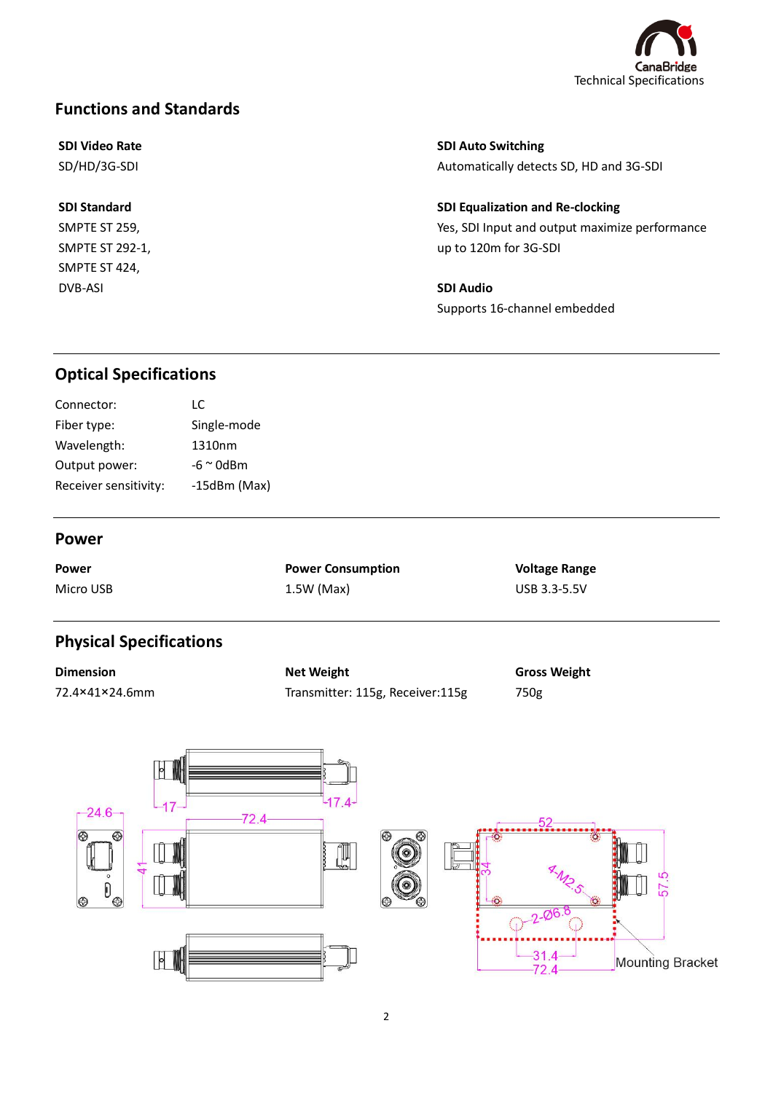

# **Functions and Standards**

### **SDI Video Rate**

SD/HD/3G-SDI

**SDI Standard** SMPTE ST 259, SMPTE ST 292-1, SMPTE ST 424,

DVB-ASI

**SDI Auto Switching**

Automatically detects SD, HD and 3G-SDI

**SDI Equalization and Re-clocking** Yes, SDI Input and output maximize performance up to 120m for 3G-SDI

**SDI Audio** Supports 16-channel embedded

# **Optical Specifications**

| Connector:            | LC.                |
|-----------------------|--------------------|
| Fiber type:           | Single-mode        |
| Wavelength:           | 1310nm             |
| Output power:         | $-6 \approx 0$ dBm |
| Receiver sensitivity: | $-15dBm$ (Max)     |
|                       |                    |

#### **Power**

**Power** Micro USB **Power Consumption** 1.5W (Max)

**Voltage Range** USB 3.3-5.5V

# **Physical Specifications**

**Dimension** 72.4×41×24.6mm **Net Weight** Transmitter: 115g, Receiver:115g **Gross Weight** 750g